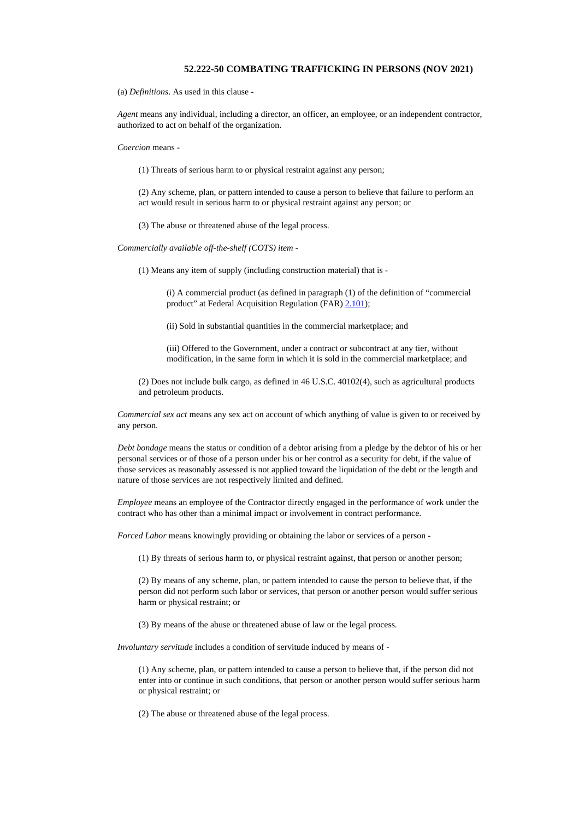## **52.222-50 COMBATING TRAFFICKING IN PERSONS (NOV 2021)**

(a) *Definitions*. As used in this clause -

*Agent* means any individual, including a director, an officer, an employee, or an independent contractor, authorized to act on behalf of the organization.

*Coercion* means -

(1) Threats of serious harm to or physical restraint against any person;

(2) Any scheme, plan, or pattern intended to cause a person to believe that failure to perform an act would result in serious harm to or physical restraint against any person; or

(3) The abuse or threatened abuse of the legal process.

*Commercially available off-the-shelf (COTS) item* -

(1) Means any item of supply (including construction material) that is -

(i) A commercial product (as defined in paragraph (1) of the definition of "commercial product" at Federal Acquisition Regulation (FAR) [2.101\)](https://acquisition.gov/far/current/html/Subpart%202_1.html#wp1145508);

(ii) Sold in substantial quantities in the commercial marketplace; and

(iii) Offered to the Government, under a contract or subcontract at any tier, without modification, in the same form in which it is sold in the commercial marketplace; and

(2) Does not include bulk cargo, as defined in 46 U.S.C. 40102(4), such as agricultural products and petroleum products.

*Commercial sex act* means any sex act on account of which anything of value is given to or received by any person.

*Debt bondage* means the status or condition of a debtor arising from a pledge by the debtor of his or her personal services or of those of a person under his or her control as a security for debt, if the value of those services as reasonably assessed is not applied toward the liquidation of the debt or the length and nature of those services are not respectively limited and defined.

*Employee* means an employee of the Contractor directly engaged in the performance of work under the contract who has other than a minimal impact or involvement in contract performance.

*Forced Labor* means knowingly providing or obtaining the labor or services of a person -

(1) By threats of serious harm to, or physical restraint against, that person or another person;

(2) By means of any scheme, plan, or pattern intended to cause the person to believe that, if the person did not perform such labor or services, that person or another person would suffer serious harm or physical restraint; or

(3) By means of the abuse or threatened abuse of law or the legal process.

*Involuntary servitude* includes a condition of servitude induced by means of -

(1) Any scheme, plan, or pattern intended to cause a person to believe that, if the person did not enter into or continue in such conditions, that person or another person would suffer serious harm or physical restraint; or

(2) The abuse or threatened abuse of the legal process.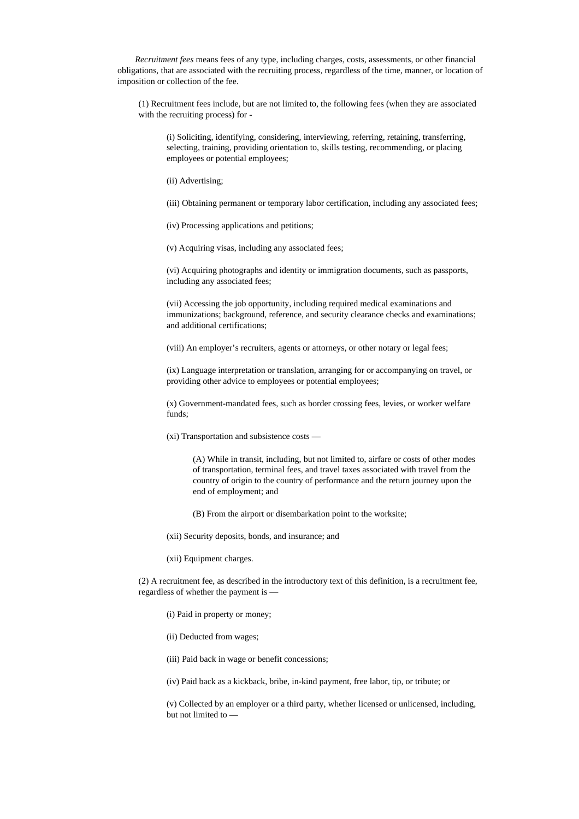*Recruitment fees* means fees of any type, including charges, costs, assessments, or other financial obligations, that are associated with the recruiting process, regardless of the time, manner, or location of imposition or collection of the fee.

(1) Recruitment fees include, but are not limited to, the following fees (when they are associated with the recruiting process) for -

(i) Soliciting, identifying, considering, interviewing, referring, retaining, transferring, selecting, training, providing orientation to, skills testing, recommending, or placing employees or potential employees;

(ii) Advertising;

(iii) Obtaining permanent or temporary labor certification, including any associated fees;

(iv) Processing applications and petitions;

(v) Acquiring visas, including any associated fees;

(vi) Acquiring photographs and identity or immigration documents, such as passports, including any associated fees;

(vii) Accessing the job opportunity, including required medical examinations and immunizations; background, reference, and security clearance checks and examinations; and additional certifications;

(viii) An employer's recruiters, agents or attorneys, or other notary or legal fees;

(ix) Language interpretation or translation, arranging for or accompanying on travel, or providing other advice to employees or potential employees;

(x) Government-mandated fees, such as border crossing fees, levies, or worker welfare funds;

(xi) Transportation and subsistence costs —

(A) While in transit, including, but not limited to, airfare or costs of other modes of transportation, terminal fees, and travel taxes associated with travel from the country of origin to the country of performance and the return journey upon the end of employment; and

(B) From the airport or disembarkation point to the worksite;

(xii) Security deposits, bonds, and insurance; and

(xii) Equipment charges.

(2) A recruitment fee, as described in the introductory text of this definition, is a recruitment fee, regardless of whether the payment is —

(i) Paid in property or money;

(ii) Deducted from wages;

(iii) Paid back in wage or benefit concessions;

(iv) Paid back as a kickback, bribe, in-kind payment, free labor, tip, or tribute; or

(v) Collected by an employer or a third party, whether licensed or unlicensed, including, but not limited to —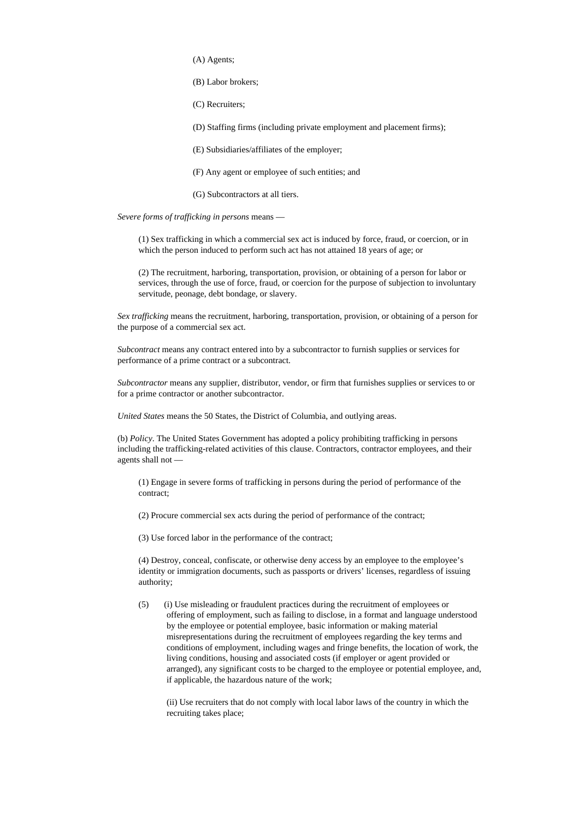(A) Agents;

- (B) Labor brokers;
- (C) Recruiters;
- (D) Staffing firms (including private employment and placement firms);
- (E) Subsidiaries/affiliates of the employer;
- (F) Any agent or employee of such entities; and
- (G) Subcontractors at all tiers.

*Severe forms of trafficking in persons* means —

(1) Sex trafficking in which a commercial sex act is induced by force, fraud, or coercion, or in which the person induced to perform such act has not attained 18 years of age; or

(2) The recruitment, harboring, transportation, provision, or obtaining of a person for labor or services, through the use of force, fraud, or coercion for the purpose of subjection to involuntary servitude, peonage, debt bondage, or slavery.

*Sex trafficking* means the recruitment, harboring, transportation, provision, or obtaining of a person for the purpose of a commercial sex act.

*Subcontract* means any contract entered into by a subcontractor to furnish supplies or services for performance of a prime contract or a subcontract.

*Subcontractor* means any supplier, distributor, vendor, or firm that furnishes supplies or services to or for a prime contractor or another subcontractor.

*United States* means the 50 States, the District of Columbia, and outlying areas.

(b) *Policy*. The United States Government has adopted a policy prohibiting trafficking in persons including the trafficking-related activities of this clause. Contractors, contractor employees, and their agents shall not —

(1) Engage in severe forms of trafficking in persons during the period of performance of the contract;

(2) Procure commercial sex acts during the period of performance of the contract;

(3) Use forced labor in the performance of the contract;

(4) Destroy, conceal, confiscate, or otherwise deny access by an employee to the employee's identity or immigration documents, such as passports or drivers' licenses, regardless of issuing authority;

(5) (i) Use misleading or fraudulent practices during the recruitment of employees or offering of employment, such as failing to disclose, in a format and language understood by the employee or potential employee, basic information or making material misrepresentations during the recruitment of employees regarding the key terms and conditions of employment, including wages and fringe benefits, the location of work, the living conditions, housing and associated costs (if employer or agent provided or arranged), any significant costs to be charged to the employee or potential employee, and, if applicable, the hazardous nature of the work;

(ii) Use recruiters that do not comply with local labor laws of the country in which the recruiting takes place;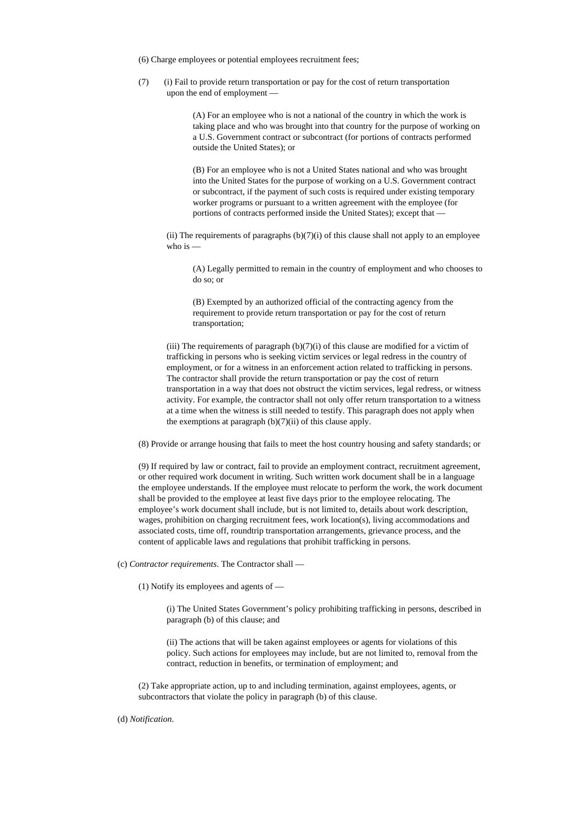- (6) Charge employees or potential employees recruitment fees;
- (7) (i) Fail to provide return transportation or pay for the cost of return transportation upon the end of employment —

(A) For an employee who is not a national of the country in which the work is taking place and who was brought into that country for the purpose of working on a U.S. Government contract or subcontract (for portions of contracts performed outside the United States); or

(B) For an employee who is not a United States national and who was brought into the United States for the purpose of working on a U.S. Government contract or subcontract, if the payment of such costs is required under existing temporary worker programs or pursuant to a written agreement with the employee (for portions of contracts performed inside the United States); except that —

(ii) The requirements of paragraphs  $(b)(7)(i)$  of this clause shall not apply to an employee who is —

(A) Legally permitted to remain in the country of employment and who chooses to do so; or

(B) Exempted by an authorized official of the contracting agency from the requirement to provide return transportation or pay for the cost of return transportation;

(iii) The requirements of paragraph  $(b)(7)(i)$  of this clause are modified for a victim of trafficking in persons who is seeking victim services or legal redress in the country of employment, or for a witness in an enforcement action related to trafficking in persons. The contractor shall provide the return transportation or pay the cost of return transportation in a way that does not obstruct the victim services, legal redress, or witness activity. For example, the contractor shall not only offer return transportation to a witness at a time when the witness is still needed to testify. This paragraph does not apply when the exemptions at paragraph  $(b)(7)(ii)$  of this clause apply.

(8) Provide or arrange housing that fails to meet the host country housing and safety standards; or

(9) If required by law or contract, fail to provide an employment contract, recruitment agreement, or other required work document in writing. Such written work document shall be in a language the employee understands. If the employee must relocate to perform the work, the work document shall be provided to the employee at least five days prior to the employee relocating. The employee's work document shall include, but is not limited to, details about work description, wages, prohibition on charging recruitment fees, work location(s), living accommodations and associated costs, time off, roundtrip transportation arrangements, grievance process, and the content of applicable laws and regulations that prohibit trafficking in persons.

(c) *Contractor requirements*. The Contractor shall —

(1) Notify its employees and agents of —

(i) The United States Government's policy prohibiting trafficking in persons, described in paragraph (b) of this clause; and

(ii) The actions that will be taken against employees or agents for violations of this policy. Such actions for employees may include, but are not limited to, removal from the contract, reduction in benefits, or termination of employment; and

(2) Take appropriate action, up to and including termination, against employees, agents, or subcontractors that violate the policy in paragraph (b) of this clause.

(d) *Notification*.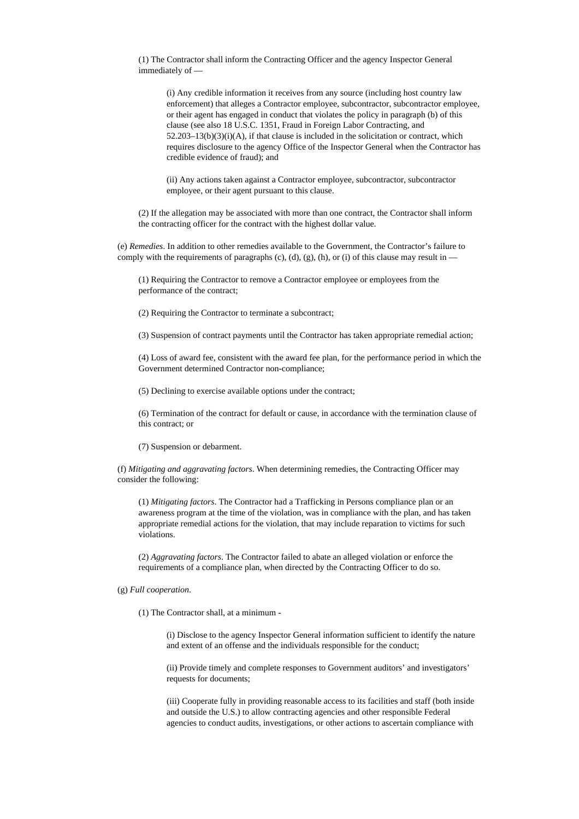(1) The Contractor shall inform the Contracting Officer and the agency Inspector General immediately of —

(i) Any credible information it receives from any source (including host country law enforcement) that alleges a Contractor employee, subcontractor, subcontractor employee, or their agent has engaged in conduct that violates the policy in paragraph (b) of this clause (see also 18 U.S.C. 1351, Fraud in Foreign Labor Contracting, and  $52.203-13(b)(3)(i)(A)$ , if that clause is included in the solicitation or contract, which requires disclosure to the agency Office of the Inspector General when the Contractor has credible evidence of fraud); and

(ii) Any actions taken against a Contractor employee, subcontractor, subcontractor employee, or their agent pursuant to this clause.

(2) If the allegation may be associated with more than one contract, the Contractor shall inform the contracting officer for the contract with the highest dollar value.

(e) *Remedies*. In addition to other remedies available to the Government, the Contractor's failure to comply with the requirements of paragraphs (c), (d), (g), (h), or (i) of this clause may result in —

(1) Requiring the Contractor to remove a Contractor employee or employees from the performance of the contract;

(2) Requiring the Contractor to terminate a subcontract;

(3) Suspension of contract payments until the Contractor has taken appropriate remedial action;

(4) Loss of award fee, consistent with the award fee plan, for the performance period in which the Government determined Contractor non-compliance;

(5) Declining to exercise available options under the contract;

(6) Termination of the contract for default or cause, in accordance with the termination clause of this contract; or

(7) Suspension or debarment.

(f) *Mitigating and aggravating factors*. When determining remedies, the Contracting Officer may consider the following:

(1) *Mitigating factors*. The Contractor had a Trafficking in Persons compliance plan or an awareness program at the time of the violation, was in compliance with the plan, and has taken appropriate remedial actions for the violation, that may include reparation to victims for such violations.

(2) *Aggravating factors*. The Contractor failed to abate an alleged violation or enforce the requirements of a compliance plan, when directed by the Contracting Officer to do so.

(g) *Full cooperation*.

(1) The Contractor shall, at a minimum -

(i) Disclose to the agency Inspector General information sufficient to identify the nature and extent of an offense and the individuals responsible for the conduct;

(ii) Provide timely and complete responses to Government auditors' and investigators' requests for documents;

(iii) Cooperate fully in providing reasonable access to its facilities and staff (both inside and outside the U.S.) to allow contracting agencies and other responsible Federal agencies to conduct audits, investigations, or other actions to ascertain compliance with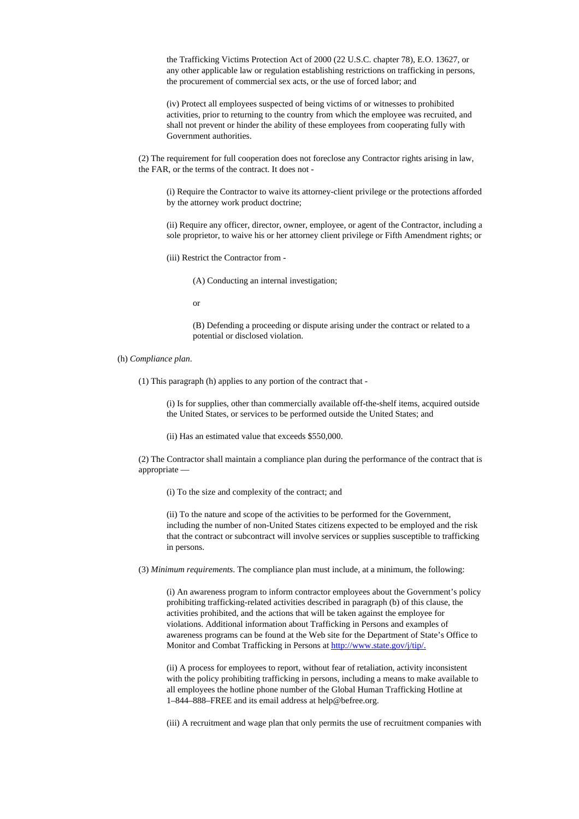the Trafficking Victims Protection Act of 2000 (22 U.S.C. chapter 78), E.O. 13627, or any other applicable law or regulation establishing restrictions on trafficking in persons, the procurement of commercial sex acts, or the use of forced labor; and

(iv) Protect all employees suspected of being victims of or witnesses to prohibited activities, prior to returning to the country from which the employee was recruited, and shall not prevent or hinder the ability of these employees from cooperating fully with Government authorities.

(2) The requirement for full cooperation does not foreclose any Contractor rights arising in law, the FAR, or the terms of the contract. It does not -

(i) Require the Contractor to waive its attorney-client privilege or the protections afforded by the attorney work product doctrine;

(ii) Require any officer, director, owner, employee, or agent of the Contractor, including a sole proprietor, to waive his or her attorney client privilege or Fifth Amendment rights; or

(iii) Restrict the Contractor from -

(A) Conducting an internal investigation;

or

(B) Defending a proceeding or dispute arising under the contract or related to a potential or disclosed violation.

(h) *Compliance plan*.

(1) This paragraph (h) applies to any portion of the contract that -

(i) Is for supplies, other than commercially available off-the-shelf items, acquired outside the United States, or services to be performed outside the United States; and

(ii) Has an estimated value that exceeds \$550,000.

(2) The Contractor shall maintain a compliance plan during the performance of the contract that is appropriate —

(i) To the size and complexity of the contract; and

(ii) To the nature and scope of the activities to be performed for the Government, including the number of non-United States citizens expected to be employed and the risk that the contract or subcontract will involve services or supplies susceptible to trafficking in persons.

(3) *Minimum requirements*. The compliance plan must include, at a minimum, the following:

(i) An awareness program to inform contractor employees about the Government's policy prohibiting trafficking-related activities described in paragraph (b) of this clause, the activities prohibited, and the actions that will be taken against the employee for violations. Additional information about Trafficking in Persons and examples of awareness programs can be found at the Web site for the Department of State's Office to Monitor and Combat Trafficking in Persons at [http://www.state.gov/j/tip/.](http://www.state.gov/j/tip/)

(ii) A process for employees to report, without fear of retaliation, activity inconsistent with the policy prohibiting trafficking in persons, including a means to make available to all employees the hotline phone number of the Global Human Trafficking Hotline at 1–844–888–FREE and its email address at help@befree.org.

(iii) A recruitment and wage plan that only permits the use of recruitment companies with